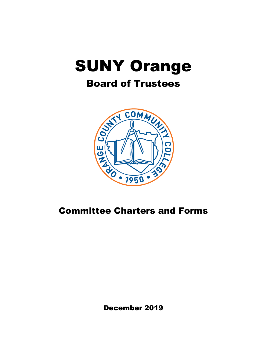# SUNY Orange

## Board of Trustees



December 2019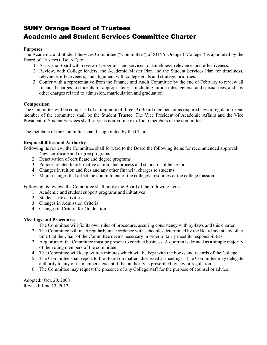## SUNY Orange Board of Trustees Academic and Student Services Committee Charter

#### **Purposes**

The Academic and Student Services Committee ("Committee") of SUNY Orange ("College") is appointed by the Board of Trustees ("Board") to:

- 1. Assist the Board with review of programs and services for timeliness, relevance, and effectiveness.
- 2. Review, with College leaders, the Academic Master Plan and the Student Services Plan for timeliness, relevance, effectiveness, and alignment with college goals and strategic priorities.
- 3. Confer with a representative from the Finance and Audit Committee by the end of February to review all financial charges to students for appropriateness, including tuition rates, general and special fees, and any other charges related to admission, matriculation and graduation

#### **Composition**

The Committee will be comprised of a minimum of three (3) Board members or as required law or regulation. One member of the committee shall be the Student Trustee. The Vice President of Academic Affairs and the Vice President of Student Services shall serve as non-voting ex-officio members of the committee.

The members of the Committee shall be appointed by the Chair.

#### **Responsibilities and Authority**

Following its review, the Committee shall forward to the Board the following items for recommended approval:

- 1. New certificate and degree programs
- 2. Deactivation of certificate and degree programs
- 3. Policies related to affirmative action, due process and standards of behavior
- 4. Changes in tuition and fees and any other financial charges to students
- 5. Major changes that affect the commitment of the colleges' resources or the college mission

Following its review, the Committee shall notify the Board of the following items:

- 1. Academic and student support programs and initiatives
- 2. Student Life activities
- 3. Changes in Admission Criteria
- 4. Changes in Criteria for Graduation

#### **Meetings and Procedures**

- 1. The Committee will fix its own rules of procedure, assuring consistency with by-laws and this charter.
- 2. The Committee will meet regularly in accordance with schedules determined by the Board and at any other time that the Chair of the Committee deems necessary in order to fairly meet its responsibilities.
- 3. A quorum of the Committee must be present to conduct business. A quorum is defined as a simple majority of the voting members of the committee.
- 4. The Committee will keep written minutes which will be kept with the books and records of the College
- 5. The Committee shall report to the Board on matters discussed at meetings. The Committee may delegate authority to any of its members, except if that authority is proscribed by law or regulation.
- 6. The Committee may request the presence of any College staff for the purpose of counsel or advice.

Adopted: Oct. 20, 2008 Revised: June 13, 2012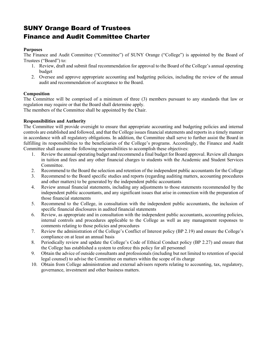## SUNY Orange Board of Trustees Finance and Audit Committee Charter

#### **Purposes**

The Finance and Audit Committee ("Committee") of SUNY Orange ("College") is appointed by the Board of Trustees ("Board") to:

- 1. Review, draft and submit final recommendation for approval to the Board of the College's annual operating budget
- 2. Oversee and approve appropriate accounting and budgeting policies, including the review of the annual audit and recommendation of acceptance to the Board.

#### **Composition**

The Committee will be comprised of a minimum of three (3) members pursuant to any standards that law or regulation may require or that the Board shall determine apply.

The members of the Committee shall be appointed by the Chair.

#### **Responsibilities and Authority**

The Committee will provide oversight to ensure that appropriate accounting and budgeting policies and internal controls are established and followed, and that the College issues financial statements and reports in a timely manner in accordance with all regulatory obligations. In addition, the Committee shall serve to further assist the Board in fulfilling its responsibilities to the beneficiaries of the College's programs. Accordingly, the Finance and Audit Committee shall assume the following responsibilities to accomplish these objectives:

- 1. Review the annual operating budget and recommend a final budget for Board approval. Review all changes in tuition and fees and any other financial charges to students with the Academic and Student Services Committee.
- 2. Recommend to the Board the selection and retention of the independent public accountants for the College
- 3. Recommend to the Board specific studies and reports (regarding auditing matters, accounting procedures and other matters) to be generated by the independent public accountants
- 4. Review annual financial statements, including any adjustments to those statements recommended by the independent public accountants, and any significant issues that arise in connection with the preparation of those financial statements
- 5. Recommend to the College, in consultation with the independent public accountants, the inclusion of specific financial disclosures in audited financial statements
- 6. Review, as appropriate and in consultation with the independent public accountants, accounting policies, internal controls and procedures applicable to the College as well as any management responses to comments relating to those policies and procedures
- 7. Review the administration of the College's Conflict of Interest policy (BP 2.19) and ensure the College's compliance on at least an annual basis
- 8. Periodically review and update the College's Code of Ethical Conduct policy (BP 2.27) and ensure that the College has established a system to enforce this policy for all personnel
- 9. Obtain the advice of outside consultants and professionals (including but not limited to retention of special legal counsel) to advise the Committee on matters within the scope of its charge
- 10. Obtain from College administration and external advisors reports relating to accounting, tax, regulatory, governance, investment and other business matters.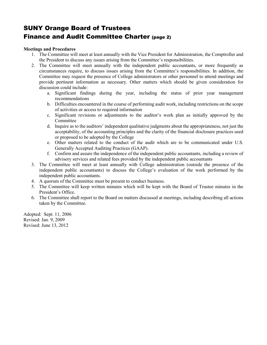## SUNY Orange Board of Trustees Finance and Audit Committee Charter (page 2)

#### **Meetings and Procedures**

- 1. The Committee will meet at least annually with the Vice President for Administration, the Comptroller and the President to discuss any issues arising from the Committee's responsibilities.
- 2. The Committee will meet annually with the independent public accountants, or more frequently as circumstances require, to discuss issues arising from the Committee's responsibilities. In addition, the Committee may request the presence of College administrators or other personnel to attend meetings and provide pertinent information as necessary. Other matters which should be given consideration for discussion could include:
	- a. Significant findings during the year, including the status of prior year management recommendations
	- b. Difficulties encountered in the course of performing audit work, including restrictions on the scope of activities or access to required information
	- c. Significant revisions or adjustments to the auditor's work plan as initially approved by the Committee
	- d. Inquire as to the auditors' independent qualitative judgments about the appropriateness, not just the acceptability, of the accounting principles and the clarity of the financial disclosure practices used or proposed to be adopted by the College
	- e. Other matters related to the conduct of the audit which are to be communicated under U.S. Generally Accepted Auditing Practices (GAAP).
	- f. Confirm and assure the independence of the independent public accountants, including a review of advisory services and related fees provided by the independent public accountants
- 3. The Committee will meet at least annually with College administration (outside the presence of the independent public accountants) to discuss the College's evaluation of the work performed by the independent public accountants.
- 4. A quorum of the Committee must be present to conduct business.
- 5. The Committee will keep written minutes which will be kept with the Board of Trustee minutes in the President's Office.
- 6. The Committee shall report to the Board on matters discussed at meetings, including describing all actions taken by the Committee.

Adopted: Sept. 11, 2006 Revised: Jan. 9, 2009 Revised: June 13, 2012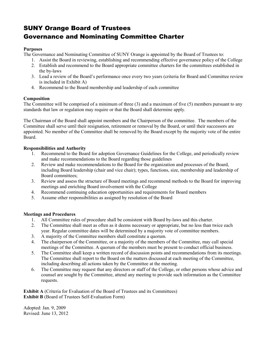## SUNY Orange Board of Trustees Governance and Nominating Committee Charter

#### **Purposes**

The Governance and Nominating Committee of SUNY Orange is appointed by the Board of Trustees to:

- 1. Assist the Board in reviewing, establishing and recommending effective governance policy of the College
- 2. Establish and recommend to the Board appropriate committee charters for the committees established in the by-laws
- 3. Lead a review of the Board's performance once every two years (criteria for Board and Committee review is included in Exhibit A)
- 4. Recommend to the Board membership and leadership of each committee

#### **Composition**

The Committee will be comprised of a minimum of three (3) and a maximum of five (5) members pursuant to any standards that law or regulation may require or that the Board shall determine apply.

The Chairman of the Board shall appoint members and the Chairperson of the committee. The members of the Committee shall serve until their resignation, retirement or removal by the Board, or until their successors are appointed. No member of the Committee shall be removed by the Board except by the majority vote of the entire Board.

#### **Responsibilities and Authority**

- 1. Recommend to the Board for adoption Governance Guidelines for the College, and periodically review and make recommendations to the Board regarding those guidelines
- 2. Review and make recommendations to the Board for the organization and processes of the Board, including Board leadership (chair and vice chair); types, functions, size, membership and leadership of Board committees;
- 3. Review and assess the structure of Board meetings and recommend methods to the Board for improving meetings and enriching Board involvement with the College
- 4. Recommend continuing education opportunities and requirements for Board members
- 5. Assume other responsibilities as assigned by resolution of the Board

#### **Meetings and Procedures**

- 1. All Committee rules of procedure shall be consistent with Board by-laws and this charter.
- 2. The Committee shall meet as often as it deems necessary or appropriate, but no less than twice each year. Regular committee dates will be determined by a majority vote of committee members.
- 3. A majority of the Committee members shall constitute a quorum.
- 4. The chairperson of the Committee, or a majority of the members of the Committee, may call special meetings of the Committee. A quorum of the members must be present to conduct official business.
- 5. The Committee shall keep a written record of discussion points and recommendations from its meetings. The Committee shall report to the Board on the matters discussed at each meeting of the Committee, including describing all actions taken by the Committee at the meeting.
- 6. The Committee may request that any directors or staff of the College, or other persons whose advice and counsel are sought by the Committee, attend any meeting to provide such information as the Committee requests.

**Exhibit A** (Criteria for Evaluation of the Board of Trustees and its Committees) **Exhibit B** (Board of Trustees Self-Evaluation Form)

Adopted: Jan. 9, 2009 Revised: June 13, 2012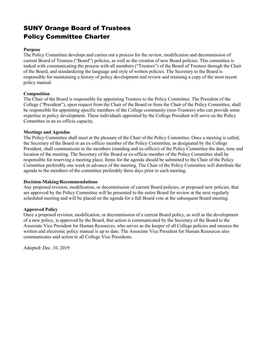## SUNY Orange Board of Trustees Policy Committee Charter

#### **Purpose**

The Policy Committee develops and carries out a process for the review, modification and decommission of current Board of Trustees ("Board") policies, as well as the creation of new Board policies. This committee is tasked with communicating the process with all members ("Trustees") of the Board of Trustees through the Chair of the Board, and standardizing the language and style of written policies. The Secretary to the Board is responsible for maintaining a history of policy development and review and retaining a copy of the most recent policy manual.

#### **Composition**

The Chair of the Board is responsible for appointing Trustees to the Policy Committee. The President of the College ("President"), upon request from the Chair of the Board or from the Chair of the Policy Committee, shall be responsible for appointing specific members of the College community (non-Trustees) who can provide some expertise in policy development. These individuals appointed by the College President will serve on the Policy Committee in an ex-officio capacity.

#### **Meetings and Agendas**

The Policy Committee shall meet at the pleasure of the Chair of the Policy Committee. Once a meeting is called, the Secretary of the Board or an ex-officio member of the Policy Committee, as designated by the College President, shall communicate to the members (standing and ex-officio) of the Policy Committee the date, time and location of the meeting. The Secretary of the Board or ex-officio member of the Policy Committee shall be responsible for reserving a meeting place. Items for the agenda should be submitted to the Chair of the Policy Committee preferably one week in advance of the meeting. The Chair of the Policy Committee will distribute the agenda to the members of the committee preferably three days prior to each meeting.

#### **Decision-Making/Recommendations**

Any proposed revision, modification, or decommission of current Board policies, or proposed new policies, that are approved by the Policy Committee will be presented to the entire Board for review at the next regularly scheduled meeting and will be placed on the agenda for a full Board vote at the subsequent Board meeting.

#### **Approved Policy**

Once a proposed revision, modification, or decommission of a current Board policy, as well as the development of a new policy, is approved by the Board, that action is communicated by the Secretary of the Board to the Associate Vice President for Human Resources, who serves as the keeper of all College policies and ensures the written and electronic policy manual is up to date. The Associate Vice President for Human Resources also communicates said action to all College Vice Presidents.

Adopted: Dec. 10, 2019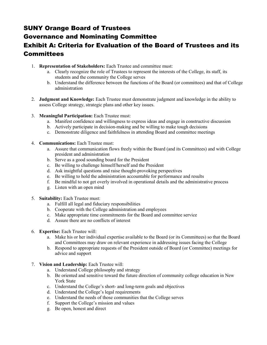## SUNY Orange Board of Trustees

## Governance and Nominating Committee

## Exhibit A: Criteria for Evaluation of the Board of Trustees and its Committees

- 1. **Representation of Stakeholders:** Each Trustee and committee must:
	- a. Clearly recognize the role of Trustees to represent the interests of the College, its staff, its students and the community the College serves
	- b. Understand the difference between the functions of the Board (or committees) and that of College administration
- 2. **Judgment and Knowledge:** Each Trustee must demonstrate judgment and knowledge in the ability to assess College strategy, strategic plans and other key issues.
- 3. **Meaningful Participation:** Each Trustee must:
	- a. Manifest confidence and willingness to express ideas and engage in constructive discussion
	- b. Actively participate in decision-making and be willing to make tough decisions
	- c. Demonstrate diligence and faithfulness in attending Board and committee meetings
- 4. **Communications:** Each Trustee must:
	- a. Assure that communication flows freely within the Board (and its Committees) and with College president and administration
	- b. Serve as a good sounding board for the President
	- c. Be willing to challenge himself/herself and the President
	- d. Ask insightful questions and raise thought-provoking perspectives
	- e. Be willing to hold the administration accountable for performance and results
	- f. Be mindful to not get overly involved in operational details and the administrative process
	- g. Listen with an open mind
- 5. **Suitability:** Each Trustee must:
	- a. Fulfill all legal and fiduciary responsibilities
	- b. Cooperate with the College administration and employees
	- c. Make appropriate time commitments for the Board and committee service
	- d. Assure there are no conflicts of interest
- 6. **Expertise:** Each Trustee will:
	- a. Make his or her individual expertise available to the Board (or its Committees) so that the Board and Committees may draw on relevant experience in addressing issues facing the College
	- b. Respond to appropriate requests of the President outside of Board (or Committee) meetings for advice and support
- 7. **Vision and Leadership:** Each Trustee will:
	- a. Understand College philosophy and strategy
	- b. Be oriented and sensitive toward the future direction of community college education in New York State
	- c. Understand the College's short- and long-term goals and objectives
	- d. Understand the College's legal requirements
	- e. Understand the needs of those communities that the College serves
	- f. Support the College's mission and values
	- g. Be open, honest and direct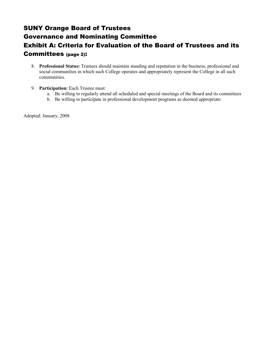## SUNY Orange Board of Trustees Governance and Nominating Committee Exhibit A: Criteria for Evaluation of the Board of Trustees and its Committees (page 2):

- 8. **Professional Status:** Trustees should maintain standing and reputation in the business, professional and social communities in which such College operates and appropriately represent the College in all such communities.
- 9. **Participation:** Each Trustee must:
	- a. Be willing to regularly attend all scheduled and special meetings of the Board and its committees
	- b. Be willing to participate in professional development programs as deemed appropriate

Adopted: January, 2008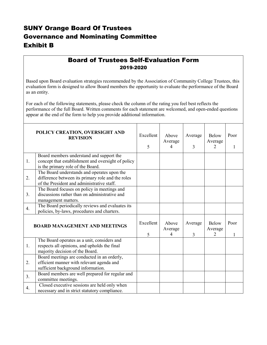## SUNY Orange Board Of Trustees Governance and Nominating Committee Exhibit B

## Board of Trustees Self-Evaluation Form 2019-2020

Based upon Board evaluation strategies recommended by the Association of Community College Trustees, this evaluation form is designed to allow Board members the opportunity to evaluate the performance of the Board as an entity.

For each of the following statements, please check the column of the rating you feel best reflects the performance of the full Board. Written comments for each statement are welcomed, and open-ended questions appear at the end of the form to help you provide additional information.

|                                      | POLICY CREATION, OVERSIGHT AND<br><b>REVISION</b>                                                                                              | Excellent<br>5 | Above<br>Average<br>4 | Average<br>3 | <b>Below</b><br>Average<br>2 | Poor |
|--------------------------------------|------------------------------------------------------------------------------------------------------------------------------------------------|----------------|-----------------------|--------------|------------------------------|------|
| 1.                                   | Board members understand and support the<br>concept that establishment and oversight of policy<br>is the primary role of the Board.            |                |                       |              |                              |      |
| 2.                                   | The Board understands and operates upon the<br>difference between its primary role and the roles<br>of the President and administrative staff. |                |                       |              |                              |      |
| 3 <sub>1</sub>                       | The Board focuses on policy in meetings and<br>discussions rather than on administrative and<br>management matters.                            |                |                       |              |                              |      |
| 4.                                   | The Board periodically reviews and evaluates its<br>policies, by-laws, procedures and charters.                                                |                |                       |              |                              |      |
| <b>BOARD MANAGEMENT AND MEETINGS</b> |                                                                                                                                                | Excellent<br>5 | Above<br>Average<br>4 | Average<br>3 | <b>Below</b><br>Average<br>2 | Poor |
| 1.                                   | The Board operates as a unit, considers and<br>respects all opinions, and upholds the final<br>majority decision of the Board.                 |                |                       |              |                              |      |
| 2.                                   | Board meetings are conducted in an orderly,<br>efficient manner with relevant agenda and<br>sufficient background information.                 |                |                       |              |                              |      |
| 3 <sub>1</sub>                       | Board members are well prepared for regular and<br>committee meetings.                                                                         |                |                       |              |                              |      |
| 4.                                   | Closed executive sessions are held only when<br>necessary and in strict statutory compliance.                                                  |                |                       |              |                              |      |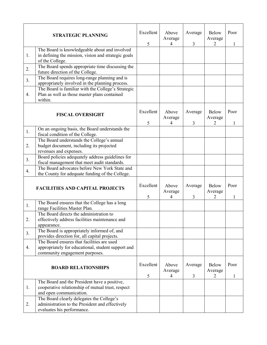|    | <b>STRATEGIC PLANNING</b>                                                                                                          | Excellent<br>5 | Above<br>Average<br>4 | Average<br>3 | <b>Below</b><br>Average<br>2 | Poor<br>1 |
|----|------------------------------------------------------------------------------------------------------------------------------------|----------------|-----------------------|--------------|------------------------------|-----------|
| 1. | The Board is knowledgeable about and involved<br>in defining the mission, vision and strategic goals<br>of the College.            |                |                       |              |                              |           |
| 2. | The Board spends appropriate time discussing the<br>future direction of the College.                                               |                |                       |              |                              |           |
| 3. | The Board requires long-range planning and is<br>appropriately involved in the planning process.                                   |                |                       |              |                              |           |
| 4. | The Board is familiar with the College's Strategic<br>Plan as well as those master plans contained<br>within.                      |                |                       |              |                              |           |
|    | <b>FISCAL OVERSIGHT</b>                                                                                                            | Excellent      | Above<br>Average      | Average      | <b>Below</b><br>Average      | Poor      |
|    | On an ongoing basis, the Board understands the                                                                                     | 5              | 4                     | 3            | 2                            | 1         |
| 1. | fiscal condition of the College.                                                                                                   |                |                       |              |                              |           |
| 2. | The Board understands the College's annual<br>budget document, including its projected<br>revenues and expenses.                   |                |                       |              |                              |           |
| 3. | Board policies adequately address guidelines for<br>fiscal management that meet audit standards.                                   |                |                       |              |                              |           |
| 4. | The Board advocates before New York State and<br>the County for adequate funding of the College.                                   |                |                       |              |                              |           |
|    | <b>FACILITIES AND CAPITAL PROJECTS</b>                                                                                             | Excellent<br>5 | Above<br>Average<br>4 | Average<br>3 | <b>Below</b><br>Average<br>2 | Poor<br>1 |
| 1. | The Board ensures that the College has a long<br>range Facilities Master Plan.                                                     |                |                       |              |                              |           |
| 2. | The Board directs the administration to<br>effectively address facilities maintenance and<br>appearance.                           |                |                       |              |                              |           |
| 3. | The Board is appropriately informed of, and<br>provides direction for, all capital projects.                                       |                |                       |              |                              |           |
| 4. | The Board ensures that facilities are used<br>appropriately for educational, student support and<br>community engagement purposes. |                |                       |              |                              |           |
|    | <b>BOARD RELATIONSHIPS</b>                                                                                                         | Excellent<br>5 | Above<br>Average<br>4 | Average<br>3 | <b>Below</b><br>Average<br>2 | Poor<br>1 |
| 1. | The Board and the President have a positive,<br>cooperative relationship of mutual trust, respect<br>and open communication.       |                |                       |              |                              |           |
| 2. | The Board clearly delegates the College's<br>administration to the President and effectively<br>evaluates his performance.         |                |                       |              |                              |           |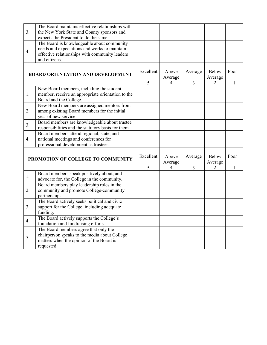| 3.               | The Board maintains effective relationships with<br>the New York State and County sponsors and<br>expects the President to do the same.                       |                |                       |              |                              |           |
|------------------|---------------------------------------------------------------------------------------------------------------------------------------------------------------|----------------|-----------------------|--------------|------------------------------|-----------|
| $\overline{4}$ . | The Board is knowledgeable about community<br>needs and expectations and works to maintain<br>effective relationships with community leaders<br>and citizens. |                |                       |              |                              |           |
|                  | <b>BOARD ORIENTATION AND DEVELOPMENT</b>                                                                                                                      | Excellent<br>5 | Above<br>Average<br>4 | Average<br>3 | Below<br>Average<br>2        | Poor<br>1 |
| 1.               | New Board members, including the student<br>member, receive an appropriate orientation to the<br>Board and the College.                                       |                |                       |              |                              |           |
| 2.               | New Board members are assigned mentors from<br>among existing Board members for the initial<br>year of new service.                                           |                |                       |              |                              |           |
| 3.               | Board members are knowledgeable about trustee<br>responsibilities and the statutory basis for them.                                                           |                |                       |              |                              |           |
| $\overline{4}$ . | Board members attend regional, state, and<br>national meetings and conferences for<br>professional development as trustees.                                   |                |                       |              |                              |           |
|                  | PROMOTION OF COLLEGE TO COMMUNITY                                                                                                                             | Excellent<br>5 | Above<br>Average<br>4 | Average<br>3 | <b>Below</b><br>Average<br>2 | Poor<br>1 |
| 1.               | Board members speak positively about, and<br>advocate for, the College in the community.                                                                      |                |                       |              |                              |           |
| 2.               | Board members play leadership roles in the<br>community and promote College-community<br>partnerships.                                                        |                |                       |              |                              |           |
| 3 <sub>1</sub>   | The Board actively seeks political and civic<br>support for the College, including adequate<br>funding.                                                       |                |                       |              |                              |           |
| $\overline{4}$ . | The Board actively supports the College's<br>foundation and fundraising efforts.                                                                              |                |                       |              |                              |           |
| 5.               | The Board members agree that only the<br>chairperson speaks to the media about College<br>matters when the opinion of the Board is<br>requested.              |                |                       |              |                              |           |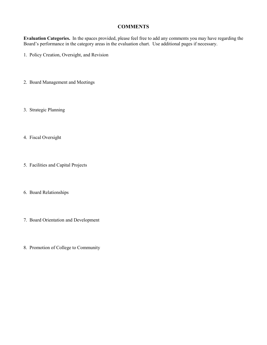#### **COMMENTS**

**Evaluation Categories.** In the spaces provided, please feel free to add any comments you may have regarding the Board's performance in the category areas in the evaluation chart. Use additional pages if necessary.

- 1. Policy Creation, Oversight, and Revision
- 2. Board Management and Meetings
- 3. Strategic Planning
- 4. Fiscal Oversight
- 5. Facilities and Capital Projects
- 6. Board Relationships
- 7. Board Orientation and Development
- 8. Promotion of College to Community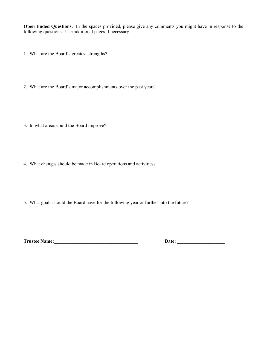**Open Ended Questions.** In the spaces provided, please give any comments you might have in response to the following questions. Use additional pages if necessary.

- 1. What are the Board's greatest strengths?
- 2. What are the Board's major accomplishments over the past year?
- 3. In what areas could the Board improve?
- 4. What changes should be made in Board operations and activities?
- 5. What goals should the Board have for the following year or further into the future?

**Trustee Name:\_\_\_\_\_\_\_\_\_\_\_\_\_\_\_\_\_\_\_\_\_\_\_\_\_\_\_\_\_\_\_\_\_\_\_ Date: \_\_\_\_\_\_\_\_\_\_\_\_\_\_\_\_\_\_\_\_**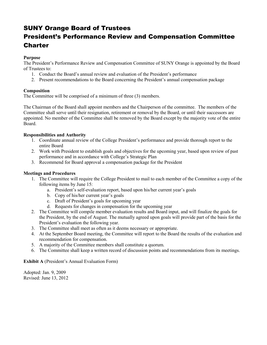## SUNY Orange Board of Trustees

## President's Performance Review and Compensation Committee Charter

#### **Purpose**

The President's Performance Review and Compensation Committee of SUNY Orange is appointed by the Board of Trustees to:

- 1. Conduct the Board's annual review and evaluation of the President's performance
- 2. Present recommendations to the Board concerning the President's annual compensation package

#### **Composition**

The Committee will be comprised of a minimum of three (3) members.

The Chairman of the Board shall appoint members and the Chairperson of the committee. The members of the Committee shall serve until their resignation, retirement or removal by the Board, or until their successors are appointed. No member of the Committee shall be removed by the Board except by the majority vote of the entire Board.

#### **Responsibilities and Authority**

- 1. Coordinate annual review of the College President's performance and provide thorough report to the entire Board
- 2. Work with President to establish goals and objectives for the upcoming year, based upon review of past performance and in accordance with College's Strategic Plan
- 3. Recommend for Board approval a compensation package for the President

#### **Meetings and Procedures**

- 1. The Committee will require the College President to mail to each member of the Committee a copy of the following items by June 15:
	- a. President's self-evaluation report, based upon his/her current year's goals
	- b. Copy of his/her current year's goals
	- c. Draft of President's goals for upcoming year
	- d. Requests for changes in compensation for the upcoming year
- 2. The Committee will compile member evaluation results and Board input, and will finalize the goals for the President, by the end of August. The mutually agreed upon goals will provide part of the basis for the President's evaluation the following year.
- 3. The Committee shall meet as often as it deems necessary or appropriate.
- 4. At the September Board meeting, the Committee will report to the Board the results of the evaluation and recommendation for compensation.
- 5. A majority of the Committee members shall constitute a quorum.
- 6. The Committee shall keep a written record of discussion points and recommendations from its meetings.

#### **Exhibit A** (President's Annual Evaluation Form)

Adopted: Jan. 9, 2009 Revised: June 13, 2012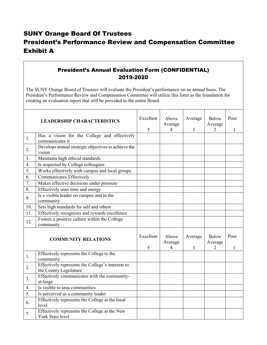## SUNY Orange Board Of Trustees President's Performance Review and Compensation Committee Exhibit A

### President's Annual Evaluation Form (CONFIDENTIAL) 2019-2020

The SUNY Orange Board of Trustees will evaluate the President's performance on an annual basis. The President's Performance Review and Compensation Committee will utilize this form as the foundation for creating an evaluation report that will be provided to the entire Board.

|                  | <b>LEADERSHIP CHARACTERISTICS</b>                                           | Excellent<br>5 | Above<br>Average<br>$\overline{4}$ | Average<br>3              | <b>Below</b><br>Average<br>$\overline{2}$ | Poor<br>1 |
|------------------|-----------------------------------------------------------------------------|----------------|------------------------------------|---------------------------|-------------------------------------------|-----------|
| 1.               | Has a vision for the College and effectively<br>communicates it             |                |                                    |                           |                                           |           |
| 2.               | Develops annual strategic objectives to achieve the<br>vision               |                |                                    |                           |                                           |           |
| 3.               | Maintains high ethical standards                                            |                |                                    |                           |                                           |           |
| $\overline{4}$ . | Is respected by College colleagues                                          |                |                                    |                           |                                           |           |
| 5.               | Works effectively with campus and local groups                              |                |                                    |                           |                                           |           |
| 6.               | <b>Communicates Effectively</b>                                             |                |                                    |                           |                                           |           |
| 7.               | Makes effective decisions under pressure                                    |                |                                    |                           |                                           |           |
| 8.               | Effectively uses time and energy                                            |                |                                    |                           |                                           |           |
| 9.               | Is a visible leader on campus and in the<br>community                       |                |                                    |                           |                                           |           |
| 10.              | Sets high standards for self and others                                     |                |                                    |                           |                                           |           |
| 11.              | Effectively recognizes and rewards excellence                               |                |                                    |                           |                                           |           |
| 12.              | Fosters a positive culture within the College<br>community                  |                |                                    |                           |                                           |           |
|                  | <b>COMMUNITY RELATIONS</b>                                                  | Excellent<br>5 | Above<br>Average<br>4              | Average<br>$\overline{3}$ | Below<br>Average<br>2                     | Poor<br>1 |
| 1.               | Effectively represents the College to the<br>community                      |                |                                    |                           |                                           |           |
| 2.               | Effectively represents the College's interests to<br>the County Legislature |                |                                    |                           |                                           |           |
| 3.               | Effectively communicates with the community-<br>at-large                    |                |                                    |                           |                                           |           |
| 4.               | Is visible in area communities                                              |                |                                    |                           |                                           |           |
| 5.               | Is perceived as a community leader                                          |                |                                    |                           |                                           |           |
| 6.               | Effectively represents the College at the local<br>level                    |                |                                    |                           |                                           |           |
| 7.               | Effectively represents the College at the New<br>York State level           |                |                                    |                           |                                           |           |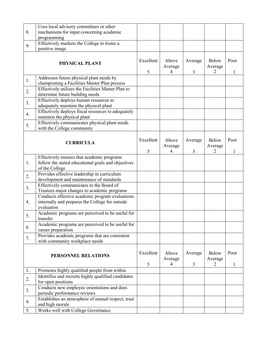|                  | Uses local advisory committees or other                                                                          |                |                                    |                           |                              |           |
|------------------|------------------------------------------------------------------------------------------------------------------|----------------|------------------------------------|---------------------------|------------------------------|-----------|
| 8.               | mechanisms for input concerning academic                                                                         |                |                                    |                           |                              |           |
|                  | programming                                                                                                      |                |                                    |                           |                              |           |
| 9.               | Effectively markets the College to foster a                                                                      |                |                                    |                           |                              |           |
|                  | positive image                                                                                                   |                |                                    |                           |                              |           |
|                  | PHYSICAL PLANT                                                                                                   | Excellent<br>5 | Above<br>Average<br>$\overline{4}$ | Average<br>$\overline{3}$ | <b>Below</b><br>Average<br>2 | Poor<br>1 |
| 1.               | Addresses future physical plant needs by<br>championing a Facilities Master Plan process                         |                |                                    |                           |                              |           |
| 2.               | Effectively utilizes the Facilities Master Plan to<br>determine future building needs                            |                |                                    |                           |                              |           |
| 3.               | Effectively deploys human resources to<br>adequately maintain the physical plant                                 |                |                                    |                           |                              |           |
| $\overline{4}$ . | Effectively deploys fiscal resources to adequately<br>maintain the physical plant                                |                |                                    |                           |                              |           |
| 5.               | Effectively communicates physical plant needs<br>with the College community                                      |                |                                    |                           |                              |           |
|                  | <b>CURRICULA</b>                                                                                                 | Excellent<br>5 | Above<br>Average<br>4              | Average<br>3              | <b>Below</b><br>Average      | Poor<br>1 |
|                  | Effectively ensures that academic programs                                                                       |                |                                    |                           |                              |           |
| 1.               | follow the stated educational goals and objectives<br>of the College                                             |                |                                    |                           |                              |           |
| 2.               | Provides effective leadership in curriculum<br>development and maintenance of standards                          |                |                                    |                           |                              |           |
| 3.               | Effectively communicates to the Board of<br>Trustees major changes to academic programs                          |                |                                    |                           |                              |           |
| 4.               | Conducts effective academic program evaluations<br>internally and prepares the College for outside<br>evaluation |                |                                    |                           |                              |           |
| 5.               | Academic programs are perceived to be useful for<br>transfer                                                     |                |                                    |                           |                              |           |
| 6.               | Academic programs are perceived to be useful for<br>career preparation                                           |                |                                    |                           |                              |           |
| 7.               | Provides academic programs that are consistent<br>with community workplace needs                                 |                |                                    |                           |                              |           |
|                  | PERSONNEL RELATIONS                                                                                              | Excellent<br>5 | Above<br>Average<br>4              | Average<br>3              | Below<br>Average<br>2        | Poor<br>1 |
| 1.               | Promotes highly qualified people from within                                                                     |                |                                    |                           |                              |           |
| 2.               | Identifies and recruits highly qualified candidates<br>for open positions                                        |                |                                    |                           |                              |           |
| 3.               | Conducts new employee orientations and does                                                                      |                |                                    |                           |                              |           |
| 4.               | periodic performance reviews<br>Establishes an atmosphere of mutual respect, trust                               |                |                                    |                           |                              |           |
|                  | and high morale                                                                                                  |                |                                    |                           |                              |           |
| 5.               | Works well with College Governance                                                                               |                |                                    |                           |                              |           |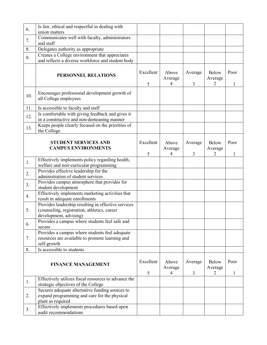|                  | Is fair, ethical and respectful in dealing with                                                     |                |                                    |              |                              |           |
|------------------|-----------------------------------------------------------------------------------------------------|----------------|------------------------------------|--------------|------------------------------|-----------|
| 6.               | union matters                                                                                       |                |                                    |              |                              |           |
|                  | Communicates well with faculty, administrators                                                      |                |                                    |              |                              |           |
| 7.               | and staff                                                                                           |                |                                    |              |                              |           |
| 8.               | Delegates authority as appropriate                                                                  |                |                                    |              |                              |           |
|                  |                                                                                                     |                |                                    |              |                              |           |
| 9.               | Creates a College environment that appreciates<br>and reflects a diverse workforce and student body |                |                                    |              |                              |           |
|                  |                                                                                                     |                |                                    |              |                              |           |
|                  | PERSONNEL RELATIONS                                                                                 | Excellent<br>5 | Above<br>Average<br>4              | Average<br>3 | <b>Below</b><br>Average<br>2 | Poor<br>1 |
| 10.              | Encourages professional development growth of<br>all College employees                              |                |                                    |              |                              |           |
| 11.              | Is accessible to faculty and staff                                                                  |                |                                    |              |                              |           |
|                  | Is comfortable with giving feedback and gives it                                                    |                |                                    |              |                              |           |
| 12.              | in a constructive and non-demeaning manner                                                          |                |                                    |              |                              |           |
| 13.              | Keeps people clearly focused on the priorities of<br>the College.                                   |                |                                    |              |                              |           |
|                  | <b>STUDENT SERVICES AND</b><br><b>CAMPUS ENVIRONMENTS</b>                                           | Excellent<br>5 | Above<br>Average<br>4              | Average<br>3 | <b>Below</b><br>Average<br>2 | Poor<br>1 |
| 1.               | Effectively implements policy regarding health,                                                     |                |                                    |              |                              |           |
|                  | welfare and non-curricular programming                                                              |                |                                    |              |                              |           |
| 2.               | Provides effective leadership for the<br>administration of student services                         |                |                                    |              |                              |           |
|                  |                                                                                                     |                |                                    |              |                              |           |
| 3.               | Provides campus atmosphere that provides for<br>student development                                 |                |                                    |              |                              |           |
|                  | Effectively implements marketing activities that                                                    |                |                                    |              |                              |           |
| $\overline{4}$ . | result in adequate enrollments                                                                      |                |                                    |              |                              |           |
|                  | Provides leadership resulting in effective services                                                 |                |                                    |              |                              |           |
| 5.               | (counseling, registration, athletics, career                                                        |                |                                    |              |                              |           |
|                  | development, advising)                                                                              |                |                                    |              |                              |           |
|                  | Provides a campus where students feel safe and                                                      |                |                                    |              |                              |           |
| 6.               | secure                                                                                              |                |                                    |              |                              |           |
|                  | Provides a campus where students feel adequate                                                      |                |                                    |              |                              |           |
| 7.               | resources are available to promote learning and                                                     |                |                                    |              |                              |           |
|                  | self-growth                                                                                         |                |                                    |              |                              |           |
| 8.               | Is accessible to students                                                                           |                |                                    |              |                              |           |
|                  | <b>FINANCE MANAGEMENT</b>                                                                           | Excellent<br>5 | Above<br>Average<br>$\overline{4}$ | Average<br>3 | Below<br>Average<br>2        | Poor<br>1 |
| 1.               | Effectively utilizes fiscal resources to advance the                                                |                |                                    |              |                              |           |
|                  | strategic objectives of the College                                                                 |                |                                    |              |                              |           |
|                  | Secures adequate alternative funding sources to                                                     |                |                                    |              |                              |           |
| 2.               | expand programming and care for the physical                                                        |                |                                    |              |                              |           |
|                  | plant as required                                                                                   |                |                                    |              |                              |           |
| 3.               | Effectively implements procedures based upon<br>audit recommendations                               |                |                                    |              |                              |           |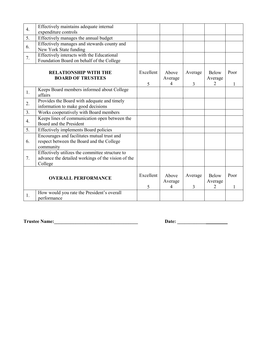| $\overline{4}$ . | Effectively maintains adequate internal<br>expenditure controls                                                  |                |                                    |              |                              |           |
|------------------|------------------------------------------------------------------------------------------------------------------|----------------|------------------------------------|--------------|------------------------------|-----------|
| 5.               | Effectively manages the annual budget                                                                            |                |                                    |              |                              |           |
| 6.               | Effectively manages and stewards county and<br>New York State funding                                            |                |                                    |              |                              |           |
| 7.               | Effectively interacts with the Educational<br>Foundation Board on behalf of the College                          |                |                                    |              |                              |           |
|                  | <b>RELATIONSHIP WITH THE</b><br><b>BOARD OF TRUSTEES</b>                                                         | Excellent<br>5 | Above<br>Average<br>4              | Average<br>3 | <b>Below</b><br>Average<br>2 | Poor<br>1 |
| 1.               | Keeps Board members informed about College<br>affairs                                                            |                |                                    |              |                              |           |
| 2.               | Provides the Board with adequate and timely<br>information to make good decisions                                |                |                                    |              |                              |           |
| 3 <sub>1</sub>   | Works cooperatively with Board members                                                                           |                |                                    |              |                              |           |
| $\overline{4}$ . | Keeps lines of communication open between the<br>Board and the President                                         |                |                                    |              |                              |           |
| 5.               | Effectively implements Board policies                                                                            |                |                                    |              |                              |           |
| 6.               | Encourages and facilitates mutual trust and<br>respect between the Board and the College<br>community            |                |                                    |              |                              |           |
| 7.               | Effectively utilizes the committee structure to<br>advance the detailed workings of the vision of the<br>College |                |                                    |              |                              |           |
|                  | <b>OVERALL PERFORMANCE</b>                                                                                       | Excellent<br>5 | Above<br>Average<br>$\overline{4}$ | Average<br>3 | Below<br>Average<br>2        | Poor<br>1 |
| 1.               | How would you rate the President's overall<br>performance                                                        |                |                                    |              |                              |           |

**Trustee Name:\_\_\_\_\_\_\_\_\_\_\_\_\_\_\_\_\_\_\_\_\_\_\_\_\_\_\_\_\_\_\_\_\_\_\_ Date: \_\_\_\_\_\_\_\_\_\_\_\_**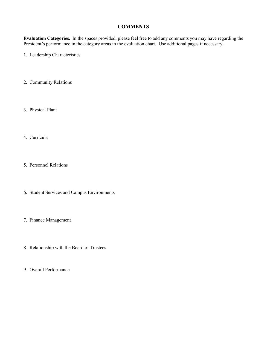#### **COMMENTS**

**Evaluation Categories.** In the spaces provided, please feel free to add any comments you may have regarding the President's performance in the category areas in the evaluation chart. Use additional pages if necessary.

1. Leadership Characteristics

- 2. Community Relations
- 3. Physical Plant
- 4. Curricula
- 5. Personnel Relations
- 6. Student Services and Campus Environments
- 7. Finance Management
- 8. Relationship with the Board of Trustees
- 9. Overall Performance